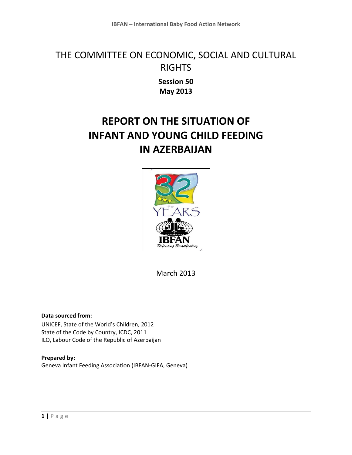## THE COMMITTEE ON ECONOMIC, SOCIAL AND CULTURAL RIGHTS

**Session 50 May 2013**

# **REPORT ON THE SITUATION OF INFANT AND YOUNG CHILD FEEDING IN AZERBAIJAN**



March 2013

**Data sourced from:** UNICEF, State of the World's Children, 2012 State of the Code by Country, ICDC, 2011 ILO, Labour Code of the Republic of Azerbaijan

**Prepared by:** Geneva Infant Feeding Association (IBFAN-GIFA, Geneva)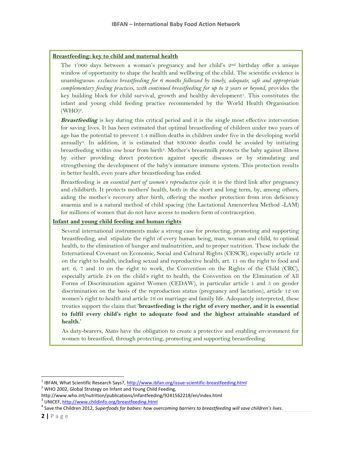#### **Breastfeeding: key to child and maternal health**

The 1'000 days between a woman's pregnancy and her child's 2nd birthday offer a unique window of opportunity to shape the health and wellbeing of the child. The scientific evidence is unambiguous: *exclusive breastfeeding for 6 months followed by timely, adequate, safe and appropriate complementary feeding practices, with continued breastfeeding for up to 2 years or beyond*, provides the key building block for child survival, growth and healthy development<sup>1</sup>. This constitutes the infant and young child feeding practice recommended by the World Health Organisation  $(WHO)<sup>2</sup>$ .

**Breastfeeding** is key during this critical period and it is the single most effective intervention for saving lives. It has been estimated that optimal breastfeeding of children under two years of age has the potential to prevent 1.4 million deaths in children under five in the developing world annually3. In addition, it is estimated that 830.000 deaths could be avoided by initiating breastfeeding within one hour from birth<sup>4</sup>. Mother's breastmilk protects the baby against illness by either providing direct protection against specific diseases or by stimulating and strengthening the development of the baby's immature immune system. This protection results in better health, even years after breastfeeding has ended.

Breastfeeding is *an essential part of women's reproductive cycle*: it is the third link after pregnancy and childbirth. It protects mothers' health, both in the short and long term, by, among others, aiding the mother's recovery after birth, offering the mother protection from iron deficiency anaemia and is a natural method of child spacing (the Lactational Amenorrhea Method -LAM) for millions of women that do not have access to modern form of contraception.

#### **Infant and young child feeding and human rights**

Several international instruments make a strong case for protecting, promoting and supporting breastfeeding, and stipulate the right of every human being, man, woman and child, to optimal health, to the elimination of hunger and malnutrition, and to proper nutrition. These include the International Covenant on Economic, Social and Cultural Rights (CESCR), especially article 12 on the right to health, including sexual and reproductive health, art. 11 on the right to food and art. 6, 7 and 10 on the right to work, the Convention on the Rights of the Child (CRC), especially article 24 on the child's right to health, the Convention on the Elimination of All Forms of Discrimination against Women (CEDAW), in particular article 1 and 5 on gender discrimination on the basis of the reproduction status (pregnancy and lactation), article 12 on women's right to health and article 16 on marriage and family life. Adequately interpreted, these treaties support the claim that **'breastfeeding is the right of every mother, and it is essential to fulfil every child's right to adequate food and the highest attainable standard of health.'**

As duty-bearers, *States* have the obligation to create a protective and enabling environment for women to breastfeed, through protecting, promoting and supporting breastfeeding.

 $2$  WHO 2002, Global Strategy on Infant and Young Child Feeding,

 $\overline{\phantom{a}}$ 

<sup>&</sup>lt;sup>1</sup> IBFAN, What Scientific Research Says?, <u>http://www.ibfan.org/issue-scientific-breastfeeding.html</u>

http://www.who.int/nutrition/publications/infantfeeding/9241562218/en/index.html

<sup>&</sup>lt;sup>3</sup> UNICEF[, http://www.childinfo.org/breastfeeding.html](http://www.childinfo.org/breastfeeding.html)

<sup>4</sup> Save the Children 2012, *Superfoods for babies: how overcoming barriers to breastfeeding will save children's lives*.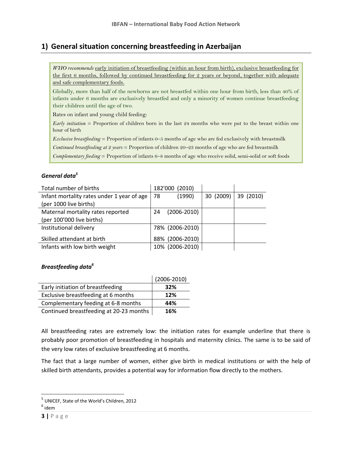## **1) General situation concerning breastfeeding in Azerbaijan**

*WHO recommends* early initiation of breastfeeding (within an hour from birth), exclusive breastfeeding for the first 6 months, followed by continued breastfeeding for 2 years or beyond, together with adequate and safe complementary foods.

Globally, more than half of the newborns are not breastfed within one hour from birth, less than 40% of infants under 6 months are exclusively breastfed and only a minority of women continue breastfeeding their children until the age of two.

Rates on infant and young child feeding:

*Early initiation* = Proportion of children born in the last 24 months who were put to the breast within one hour of birth

*Exclusive breastfeeding* = Proportion of infants 0–5 months of age who are fed exclusively with breastmilk

*Continued breastfeeding at 2 years* = Proportion of children 20–23 months of age who are fed breastmilk

*Complementary feeding* = Proportion of infants 6–8 months of age who receive solid, semi-solid or soft foods

### *General data<sup>5</sup>*

| Total number of births                     |     | 182'000 (2010)  |           |           |
|--------------------------------------------|-----|-----------------|-----------|-----------|
| Infant mortality rates under 1 year of age | -78 | (1990)          | 30 (2009) | 39 (2010) |
| (per 1000 live births)                     |     |                 |           |           |
| Maternal mortality rates reported          | 24  | $(2006 - 2010)$ |           |           |
| (per 100'000 live births)                  |     |                 |           |           |
| Institutional delivery                     |     | 78% (2006-2010) |           |           |
| Skilled attendant at birth                 |     | 88% (2006-2010) |           |           |
| Infants with low birth weight              |     | 10% (2006-2010) |           |           |

#### *Breastfeeding data<sup>6</sup>*

|                                         | $(2006 - 2010)$ |
|-----------------------------------------|-----------------|
| Early initiation of breastfeeding       | 32%             |
| Exclusive breastfeeding at 6 months     | 12%             |
| Complementary feeding at 6-8 months     | 44%             |
| Continued breastfeeding at 20-23 months | 16%             |

All breastfeeding rates are extremely low: the initiation rates for example underline that there is probably poor promotion of breastfeeding in hospitals and maternity clinics. The same is to be said of the very low rates of exclusive breastfeeding at 6 months.

The fact that a large number of women, either give birth in medical institutions or with the help of skilled birth attendants, provides a potential way for information flow directly to the mothers.

 $\overline{a}$ 

<sup>&</sup>lt;sup>5</sup> UNICEF, State of the World's Children, 2012

 $^6$  idem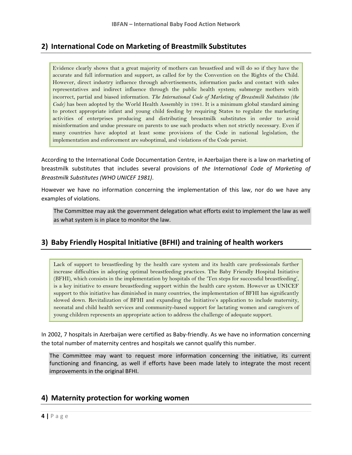## **2) International Code on Marketing of Breastmilk Substitutes**

Evidence clearly shows that a great majority of mothers can breastfeed and will do so if they have the accurate and full information and support, as called for by the Convention on the Rights of the Child. However, direct industry influence through advertisements, information packs and contact with sales representatives and indirect influence through the public health system; submerge mothers with incorrect, partial and biased information. *The International Code of Marketing of Breastmilk Substitutes (the Code)* has been adopted by the World Health Assembly in 1981. It is a minimum global standard aiming to protect appropriate infant and young child feeding by requiring States to regulate the marketing activities of enterprises producing and distributing breastmilk substitutes in order to avoid misinformation and undue pressure on parents to use such products when not strictly necessary. Even if many countries have adopted at least some provisions of the Code in national legislation, the implementation and enforcement are suboptimal, and violations of the Code persist.

According to the International Code Documentation Centre, in Azerbaijan there is a law on marketing of breastmilk substitutes that includes several provisions of *the International Code of Marketing of Breastmilk Substitutes (WHO UNICEF 1981)*.

However we have no information concerning the implementation of this law, nor do we have any examples of violations.

The Committee may ask the government delegation what efforts exist to implement the law as well as what system is in place to monitor the law.

## **3) Baby Friendly Hospital Initiative (BFHI) and training of health workers**

Lack of support to breastfeeding by the health care system and its health care professionals further increase difficulties in adopting optimal breastfeeding practices. The Baby Friendly Hospital Initiative (BFHI), which consists in the implementation by hospitals of the 'Ten steps for successful breastfeeding', is a key initiative to ensure breastfeeding support within the health care system. However as UNICEF support to this initiative has diminished in many countries, the implementation of BFHI has significantly slowed down. Revitalization of BFHI and expanding the Initiative's application to include maternity, neonatal and child health services and community-based support for lactating women and caregivers of young children represents an appropriate action to address the challenge of adequate support.

In 2002, 7 hospitals in Azerbaijan were certified as Baby-friendly. As we have no information concerning the total number of maternity centres and hospitals we cannot qualify this number.

The Committee may want to request more information concerning the initiative, its current functioning and financing, as well if efforts have been made lately to integrate the most recent improvements in the original BFHI.

### **4) Maternity protection for working women**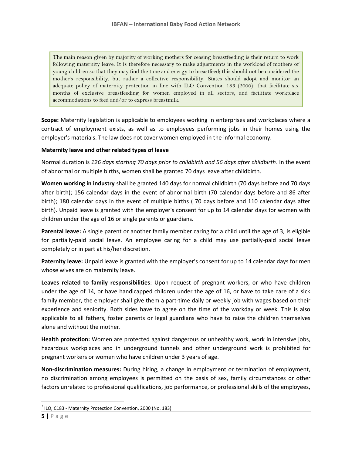The main reason given by majority of working mothers for ceasing breastfeeding is their return to work following maternity leave. It is therefore necessary to make adjustments in the workload of mothers of young children so that they may find the time and energy to breastfeed; this should not be considered the mother's responsibility, but rather a collective responsibility. States should adopt and monitor an adequate policy of maternity protection in line with ILO Convention 183 (2000)<sup>7</sup> that facilitate six months of exclusive breastfeeding for women employed in all sectors, and facilitate workplace accommodations to feed and/or to express breastmilk.

**Scope:** Maternity legislation is applicable to employees working in enterprises and workplaces where a contract of employment exists, as well as to employees performing jobs in their homes using the employer's materials. The law does not cover women employed in the informal economy.

#### **Maternity leave and other related types of leave**

Normal duration is *126 days starting 70 days prior to childbirth and 56 days after childbirth*. In the event of abnormal or multiple births, women shall be granted 70 days leave after childbirth.

**Women working in industry** shall be granted 140 days for normal childbirth (70 days before and 70 days after birth); 156 calendar days in the event of abnormal birth (70 calendar days before and 86 after birth); 180 calendar days in the event of multiple births ( 70 days before and 110 calendar days after birth). Unpaid leave is granted with the employer's consent for up to 14 calendar days for women with children under the age of 16 or single parents or guardians.

**Parental leave:** A single parent or another family member caring for a child until the age of 3, is eligible for partially-paid social leave. An employee caring for a child may use partially-paid social leave completely or in part at his/her discretion.

**Paternity leave:** Unpaid leave is granted with the employer's consent for up to 14 calendar days for men whose wives are on maternity leave.

**Leaves related to family responsibilities**: Upon request of pregnant workers, or who have children under the age of 14, or have handicapped children under the age of 16, or have to take care of a sick family member, the employer shall give them a part-time daily or weekly job with wages based on their experience and seniority. Both sides have to agree on the time of the workday or week. This is also applicable to all fathers, foster parents or legal guardians who have to raise the children themselves alone and without the mother.

**Health protection:** Women are protected against dangerous or unhealthy work, work in intensive jobs, hazardous workplaces and in underground tunnels and other underground work is prohibited for pregnant workers or women who have children under 3 years of age.

**Non-discrimination measures:** During hiring, a change in employment or termination of employment, no discrimination among employees is permitted on the basis of sex, family circumstances or other factors unrelated to professional qualifications, job performance, or professional skills of the employees,

 $\overline{a}$  $<sup>7</sup>$  ILO, C183 - Maternity Protection Convention, 2000 (No. 183)</sup>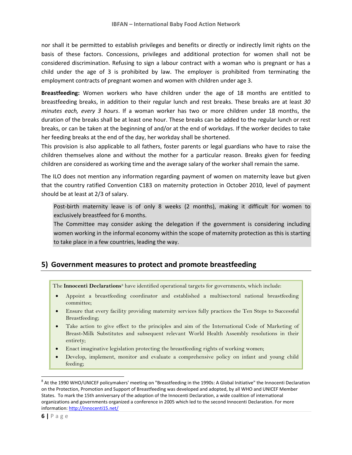nor shall it be permitted to establish privileges and benefits or directly or indirectly limit rights on the basis of these factors. Concessions, privileges and additional protection for women shall not be considered discrimination. Refusing to sign a labour contract with a woman who is pregnant or has a child under the age of 3 is prohibited by law. The employer is prohibited from terminating the employment contracts of pregnant women and women with children under age 3.

**Breastfeeding:** Women workers who have children under the age of 18 months are entitled to breastfeeding breaks, in addition to their regular lunch and rest breaks. These breaks are at least *30 minutes each, every 3 hours*. If a woman worker has two or more children under 18 months, the duration of the breaks shall be at least one hour. These breaks can be added to the regular lunch or rest breaks, or can be taken at the beginning of and/or at the end of workdays. If the worker decides to take her feeding breaks at the end of the day, her workday shall be shortened.

This provision is also applicable to all fathers, foster parents or legal guardians who have to raise the children themselves alone and without the mother for a particular reason. Breaks given for feeding children are considered as working time and the average salary of the worker shall remain the same.

The ILO does not mention any information regarding payment of women on maternity leave but given that the country ratified Convention C183 on maternity protection in October 2010, level of payment should be at least at 2/3 of salary.

Post-birth maternity leave is of only 8 weeks (2 months), making it difficult for women to exclusively breastfeed for 6 months.

The Committee may consider asking the delegation if the government is considering including women working in the informal economy within the scope of maternity protection as this is starting to take place in a few countries, leading the way.

## **5) Government measures to protect and promote breastfeeding**

The **Innocenti Declarations** <sup>8</sup> have identified operational targets for governments, which include:

- Appoint a breastfeeding coordinator and established a multisectoral national breastfeeding committee;
- Ensure that every facility providing maternity services fully practices the Ten Steps to Successful Breastfeeding;
- Take action to give effect to the principles and aim of the International Code of Marketing of Breast-Milk Substitutes and subsequent relevant World Health Assembly resolutions in their entirety;
- Enact imaginative legislation protecting the breastfeeding rights of working women;
- Develop, implement, monitor and evaluate a comprehensive policy on infant and young child feeding;

 $\overline{\phantom{a}}$ 

 $^8$  At the 1990 WHO/UNICEF policymakers' meeting on "Breastfeeding in the 1990s: A Global Initiative" the Innocenti Declaration on the Protection, Promotion and Support of Breastfeeding was developed and adopted, by all WHO and UNICEF Member States. To mark the 15th anniversary of the adoption of the Innocenti Declaration, a wide coalition of international organizations and governments organized a conference in 2005 which led to the second Innocenti Declaration. For more information:<http://innocenti15.net/>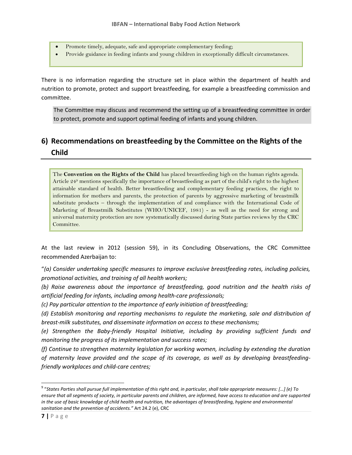- Promote timely, adequate, safe and appropriate complementary feeding;
- Provide guidance in feeding infants and young children in exceptionally difficult circumstances.

There is no information regarding the structure set in place within the department of health and nutrition to promote, protect and support breastfeeding, for example a breastfeeding commission and committee.

The Committee may discuss and recommend the setting up of a breastfeeding committee in order to protect, promote and support optimal feeding of infants and young children.

## **6) Recommendations on breastfeeding by the Committee on the Rights of the Child**

The **Convention on the Rights of the Child** has placed breastfeeding high on the human rights agenda. Article 24<sup>9</sup> mentions specifically the importance of breastfeeding as part of the child's right to the highest attainable standard of health. Better breastfeeding and complementary feeding practices, the right to information for mothers and parents, the protection of parents by aggressive marketing of breastmilk substitute products – through the implementation of and compliance with the International Code of Marketing of Breastmilk Substitutes (WHO/UNICEF, 1981) - as well as the need for strong and universal maternity protection are now systematically discussed during State parties reviews by the CRC Committee.

At the last review in 2012 (session 59), in its Concluding Observations, the CRC Committee recommended Azerbaijan to:

"*(a) Consider undertaking specific measures to improve exclusive breastfeeding rates, including policies, promotional activities, and training of all health workers;* 

*(b) Raise awareness about the importance of breastfeeding, good nutrition and the health risks of artificial feeding for infants, including among health-care professionals;* 

*(c) Pay particular attention to the importance of early initiation of breastfeeding;* 

*(d) Establish monitoring and reporting mechanisms to regulate the marketing, sale and distribution of breast-milk substitutes, and disseminate information on access to these mechanisms;* 

*(e) Strengthen the Baby-friendly Hospital Initiative, including by providing sufficient funds and monitoring the progress of its implementation and success rates;* 

*(f) Continue to strengthen maternity legislation for working women, including by extending the duration of maternity leave provided and the scope of its coverage, as well as by developing breastfeedingfriendly workplaces and child-care centres;* 

 $\overline{a}$ 

<sup>9</sup> "*States Parties shall pursue full implementation of this right and, in particular, shall take appropriate measures: […] (e) To ensure that all segments of society, in particular parents and children, are informed, have access to education and are supported in the use of basic knowledge of child health and nutrition, the advantages of breastfeeding, hygiene and environmental sanitation and the prevention of accidents."* Art 24.2 (e), CRC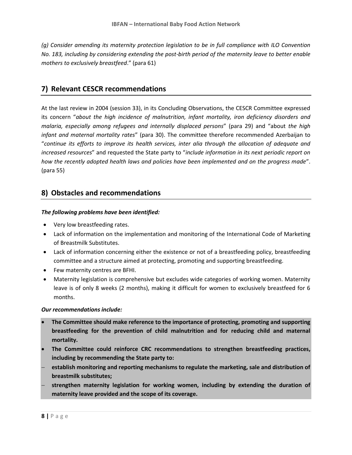*(g) Consider amending its maternity protection legislation to be in full compliance with ILO Convention No. 183, including by considering extending the post-birth period of the maternity leave to better enable mothers to exclusively breastfeed*." (para 61)

## **7) Relevant CESCR recommendations**

At the last review in 2004 (session 33), in its Concluding Observations, the CESCR Committee expressed its concern "*about the high incidence of malnutrition, infant mortality, iron deficiency disorders and malaria, especially among refugees and internally displaced persons*" (para 29) and "about *the high infant and maternal mortality rates*" (para 30). The committee therefore recommended Azerbaijan to "*continue its efforts to improve its health services, inter alia through the allocation of adequate and increased resources*" and requested the State party to "*include information in its next periodic report on how the recently adopted health laws and policies have been implemented and on the progress made*". (para 55)

## **8) Obstacles and recommendations**

#### *The following problems have been identified:*

- Very low breastfeeding rates.
- Lack of information on the implementation and monitoring of the International Code of Marketing of Breastmilk Substitutes.
- Lack of information concerning either the existence or not of a breastfeeding policy, breastfeeding committee and a structure aimed at protecting, promoting and supporting breastfeeding.
- Few maternity centres are BFHI.
- Maternity legislation is comprehensive but excludes wide categories of working women. Maternity leave is of only 8 weeks (2 months), making it difficult for women to exclusively breastfeed for 6 months.

#### *Our recommendations include:*

- **The Committee should make reference to the importance of protecting, promoting and supporting breastfeeding for the prevention of child malnutrition and for reducing child and maternal mortality.**
- **The Committee could reinforce CRC recommendations to strengthen breastfeeding practices, including by recommending the State party to:**
- **establish monitoring and reporting mechanisms to regulate the marketing, sale and distribution of breastmilk substitutes;**
- **strengthen maternity legislation for working women, including by extending the duration of maternity leave provided and the scope of its coverage.**